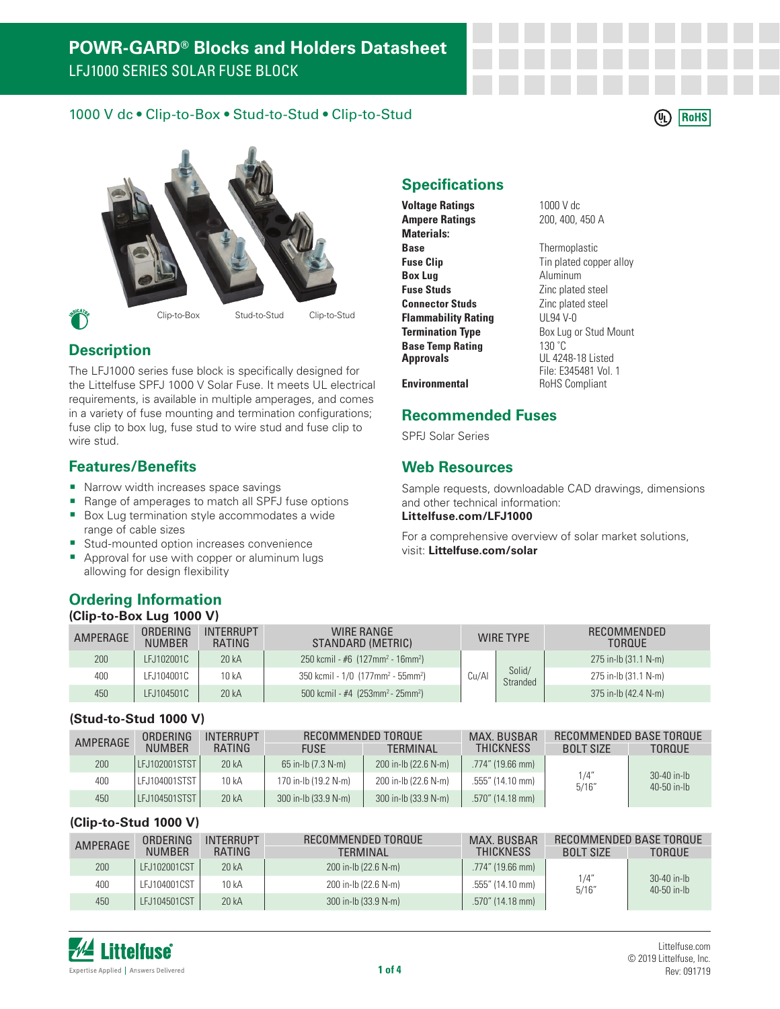### 1000 V dc • Clip-to-Box • Stud-to-Stud • Clip-to-Stud

### (4) RoHS



# **Description**

The LFJ1000 series fuse block is specifically designed for the Littelfuse SPFJ 1000 V Solar Fuse. It meets UL electrical requirements, is available in multiple amperages, and comes in a variety of fuse mounting and termination configurations; fuse clip to box lug, fuse stud to wire stud and fuse clip to wire stud.

### **Features/Benefits**

- Narrow width increases space savings
- Range of amperages to match all SPFJ fuse options
- **Box Lug termination style accommodates a wide** range of cable sizes
- Stud-mounted option increases convenience
- Approval for use with copper or aluminum lugs allowing for design flexibility

# **Specifications**

**Voltage Ratings** 1000 V dc **Ampere Ratings** 200, 400, 450 A **Materials: Base** Thermoplastic **Box Lug Aluminum Fuse Studs Zinc plated steel Connector Studs Zinc plated steel Flammability Rating** UL94 V-0 **Base Temp Rating** 130 °C<br> **Approvals** UL 424

**Fuse Clip** Tin plated copper alloy **Termination Type** Box Lug or Stud Mount **Approvals** UL 4248-18 Listed File: E345481 Vol. 1

**Environmental** RoHS Compliant

### **Recommended Fuses**

SPFJ Solar Series

### **Web Resources**

Sample requests, downloadable CAD drawings, dimensions and other technical information: **Littelfuse.com/LFJ1000**

For a comprehensive overview of solar market solutions,

visit: **Littelfuse.com/solar**

#### **Ordering Information (Clip-to-Box Lug 1000 V)**

| AMPERAGE | ORDERING<br><b>NUMBER</b> | <b>INTERRUPT</b><br><b>RATING</b> | WIRE RANGE<br>STANDARD (METRIC)                               |                             | <b>WIRE TYPE</b> | RECOMMENDED<br><b>TORQUE</b> |  |
|----------|---------------------------|-----------------------------------|---------------------------------------------------------------|-----------------------------|------------------|------------------------------|--|
| 200      | LFJ102001C                | 20 kA                             | $250$ kcmil - #6 $(127$ mm <sup>2</sup> - 16mm <sup>2</sup> ) |                             |                  | 275 in-lb (31.1 N-m)         |  |
| 400      | LFJ104001C                | 10 kA                             | 350 kcmil - 1/0 (177mm <sup>2</sup> - 55mm <sup>2</sup> )     | Solid/<br>Cu/Al<br>Stranded |                  | 275 in-lb (31.1 N-m)         |  |
| 450      | LFJ104501C                | 20 kA                             | 500 kcmil - #4 (253mm <sup>2</sup> - 25mm <sup>2</sup> )      |                             |                  | $375$ in-lb (42.4 N-m)       |  |

#### **(Stud-to-Stud 1000 V)**

| AMPERAGE | ORDERING<br><b>NUMBER</b> | INTFRRUPT<br><b>RATING</b> | RECOMMENDED TOROUE   |                      | <b>MAX. BUSBAR</b>  | RECOMMENDED BASE TOROUF |                                  |
|----------|---------------------------|----------------------------|----------------------|----------------------|---------------------|-------------------------|----------------------------------|
|          |                           |                            | <b>FUSE</b>          | TFRMINAL             | THICKNESS           | BOLT SIZE               | <b>TORQUE</b>                    |
| 200      | LEJ102001STST             | 20 kA                      | 65 in-lb (7.3 N-m)   | 200 in-lb (22.6 N-m) | .774" (19.66 mm)    |                         | $30-40$ in-lb<br>$40 - 50$ in-lb |
| 400      | LEJ104001STST             | 10 kA                      | 170 in-lb (19.2 N-m) | 200 in-lb (22.6 N-m) | .555" (14.10 mm)    | 1/4"<br>5/16''          |                                  |
| 450      | LEJ104501STST             | 20 kA                      | 300 in-lb (33.9 N-m) | 300 in-lb (33.9 N-m) | $.570''$ (14.18 mm) |                         |                                  |

#### **(Clip-to-Stud 1000 V)**

| AMPERAGE | ORDERING<br><b>NUMBER</b> | <b>INTERRUPT</b><br><b>RATING</b> | RECOMMENDED TORQUE   | <b>MAX. BUSBAR</b><br>THICKNESS | RECOMMENDED BASE TORQUE |                                |
|----------|---------------------------|-----------------------------------|----------------------|---------------------------------|-------------------------|--------------------------------|
|          |                           |                                   | TFRMINAI             |                                 | BOLT SIZE               | <b>TORQUE</b>                  |
| 200      | LFJ102001CST              | 20 kA                             | 200 in-lb (22.6 N-m) | .774" (19.66 mm)                |                         | $30-40$ in-lb<br>$40-50$ in-lb |
| 400      | LFJ104001CST              | 10 kA                             | 200 in-lb (22.6 N-m) | $.555''$ (14.10 mm)             | 1/4"<br>5/16"           |                                |
| 450      | LFJ104501CST              | 20 kA                             | 300 in-lb (33.9 N-m) | $.570''$ (14.18 mm)             |                         |                                |

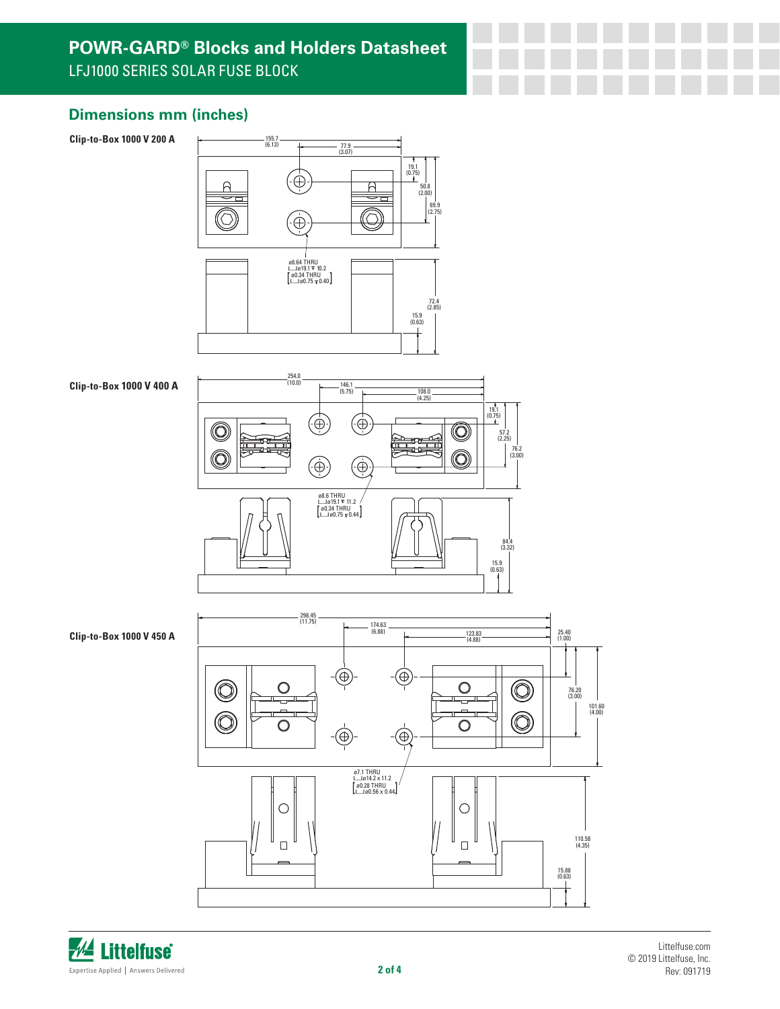# **POWR-GARD® Blocks and Holders Datasheet** LFJ1000 SERIES SOLAR FUSE BLOCK

### **Dimensions mm (inches)**





#### **Clip-to-Box 1000 V 400 A**







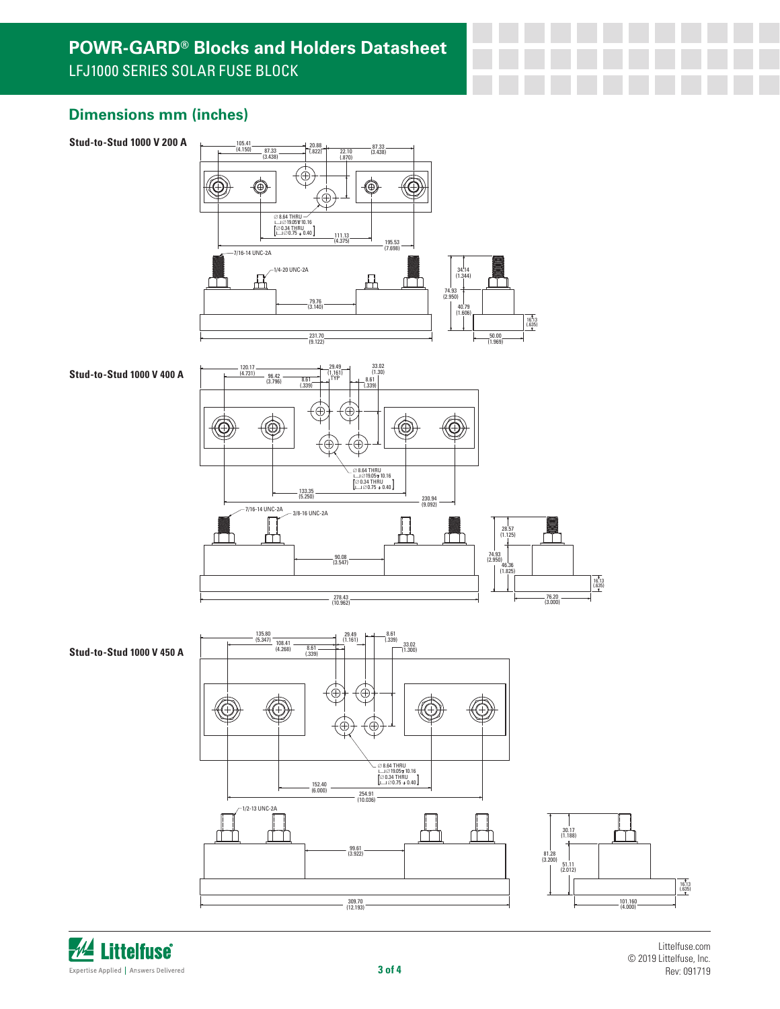# **Dimensions mm (inches)**





16.13 (.635)